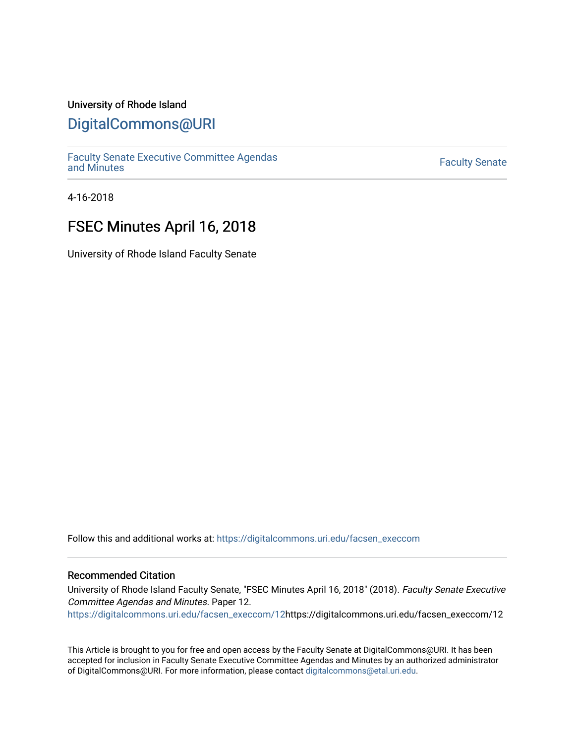## University of Rhode Island

## [DigitalCommons@URI](https://digitalcommons.uri.edu/)

[Faculty Senate Executive Committee Agendas](https://digitalcommons.uri.edu/facsen_execcom)  [and Minutes](https://digitalcommons.uri.edu/facsen_execcom) [Faculty Senate](https://digitalcommons.uri.edu/facsen) 

4-16-2018

# FSEC Minutes April 16, 2018

University of Rhode Island Faculty Senate

Follow this and additional works at: [https://digitalcommons.uri.edu/facsen\\_execcom](https://digitalcommons.uri.edu/facsen_execcom?utm_source=digitalcommons.uri.edu%2Ffacsen_execcom%2F12&utm_medium=PDF&utm_campaign=PDFCoverPages) 

#### Recommended Citation

University of Rhode Island Faculty Senate, "FSEC Minutes April 16, 2018" (2018). Faculty Senate Executive Committee Agendas and Minutes. Paper 12.

[https://digitalcommons.uri.edu/facsen\\_execcom/12h](https://digitalcommons.uri.edu/facsen_execcom/12?utm_source=digitalcommons.uri.edu%2Ffacsen_execcom%2F12&utm_medium=PDF&utm_campaign=PDFCoverPages)ttps://digitalcommons.uri.edu/facsen\_execcom/12

This Article is brought to you for free and open access by the Faculty Senate at DigitalCommons@URI. It has been accepted for inclusion in Faculty Senate Executive Committee Agendas and Minutes by an authorized administrator of DigitalCommons@URI. For more information, please contact [digitalcommons@etal.uri.edu](mailto:digitalcommons@etal.uri.edu).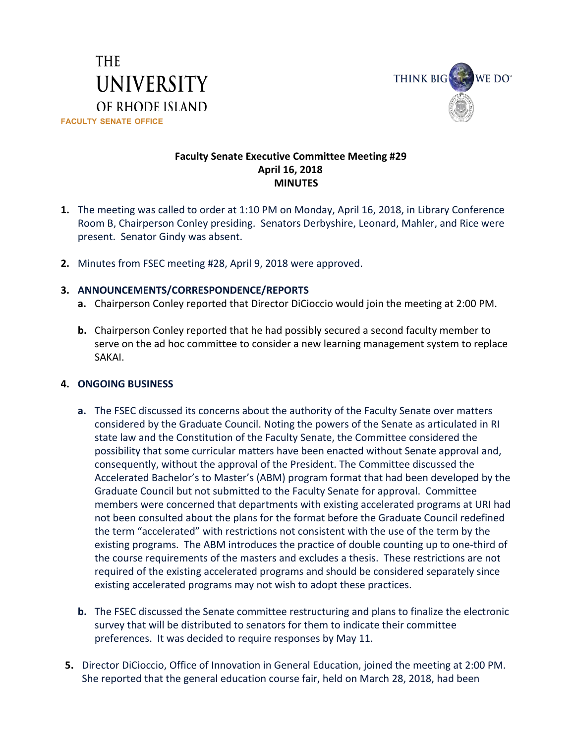



## **Faculty Senate Executive Committee Meeting #29 April 16, 2018 MINUTES**

- **1.** The meeting was called to order at 1:10 PM on Monday, April 16, 2018, in Library Conference Room B, Chairperson Conley presiding. Senators Derbyshire, Leonard, Mahler, and Rice were present. Senator Gindy was absent.
- **2.** Minutes from FSEC meeting #28, April 9, 2018 were approved.

## **3. ANNOUNCEMENTS/CORRESPONDENCE/REPORTS**

- **a.** Chairperson Conley reported that Director DiCioccio would join the meeting at 2:00 PM.
- **b.** Chairperson Conley reported that he had possibly secured a second faculty member to serve on the ad hoc committee to consider a new learning management system to replace SAKAI.

### **4. ONGOING BUSINESS**

- **a.** The FSEC discussed its concerns about the authority of the Faculty Senate over matters considered by the Graduate Council. Noting the powers of the Senate as articulated in RI state law and the Constitution of the Faculty Senate, the Committee considered the possibility that some curricular matters have been enacted without Senate approval and, consequently, without the approval of the President. The Committee discussed the Accelerated Bachelor's to Master's (ABM) program format that had been developed by the Graduate Council but not submitted to the Faculty Senate for approval. Committee members were concerned that departments with existing accelerated programs at URI had not been consulted about the plans for the format before the Graduate Council redefined the term "accelerated" with restrictions not consistent with the use of the term by the existing programs. The ABM introduces the practice of double counting up to one-third of the course requirements of the masters and excludes a thesis. These restrictions are not required of the existing accelerated programs and should be considered separately since existing accelerated programs may not wish to adopt these practices.
- **b.** The FSEC discussed the Senate committee restructuring and plans to finalize the electronic survey that will be distributed to senators for them to indicate their committee preferences. It was decided to require responses by May 11.
- **5.** Director DiCioccio, Office of Innovation in General Education, joined the meeting at 2:00 PM. She reported that the general education course fair, held on March 28, 2018, had been